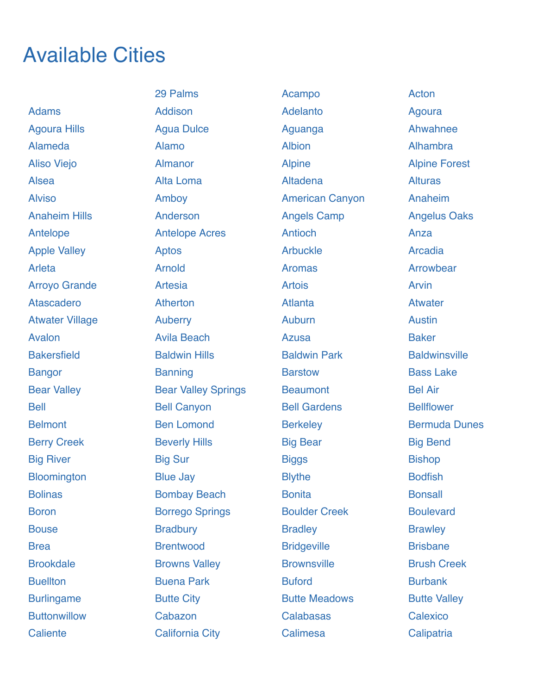## Available Cities

Adams Addison Adelanto Agoura Agoura Hills **Agua Dulce** Aguanga Ahwahnee Alameda Alamo Albion Alhambra Aliso Viejo Almanor Alpine Alpine Forest Alsea Alta Loma Altadena Alturas Alviso Amboy American Canyon Anaheim Anaheim Hills **Anderson** Angels Camp Angelus Oaks Antelope Antelope Acres Antioch Anza Apple Valley **Aptos** Aptos **Arbuckle** Arcadia Arleta Arnold Aromas Arrowbear Arroyo Grande Artesia Artois Arvin Atascadero Atherton Atlanta Atwater Atwater Village **Auberry** Auburn Auburn Austin Avalon Avila Beach Azusa Baker Bakersfield Baldwin Hills Baldwin Park Baldwinsville Bangor Banning Barstow Bass Lake Bear Valley **Bear Valley Springs** Beaumont Bel Air Bell Bell Canyon Bell Gardens Bellflower Belmont **Ben Lomond** Berkeley Bermuda Dunes Berry Creek Beverly Hills Big Bear Big Bend Big River Big Sur Biggs Bishop Bloomington Blue Jay Blythe Blythe Bodfish Bolinas **Bombay Beach** Bonita Bonisall Bonsall Boron Borrego Springs Boulder Creek Boulevard Bouse **Bradbury Brades Bradley** Bradley Brawley Brea Brentwood Bridgeville Brisbane Brookdale Browns Valley Brownsville Brush Creek Buellton Buena Park Buford Burbank Burlingame **Butte City** Butte Butte Meadows Butte Valley Buttonwillow Cabazon Calabasas Calexico

29 Palms **Acampo Acampo Acton** 

Caliente California City Calimesa Calipatria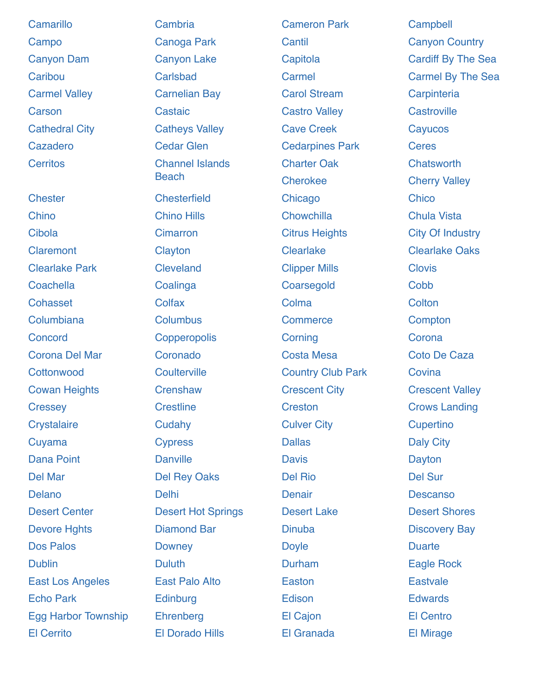Camarillo Cambria Cameron Park Campbell Campo Canoga Park Cantil Canyon Country Canyon Dam Canyon Lake Capitola Capitola Cardiff By The Sea Caribou Carlsbad Carmel Carmel By The Sea Carmel Valley Carnelian Bay Carol Stream Carpinteria Carson Castaic Castro Valley Castroville Cathedral City **Catheys Valley Cave Creek** Cayucos Cazadero Cedar Glen Cedarpines Park Ceres Cerritos Channel Islands Chester Chesterfield Chicago Chico Chino Chino Hills Chowchilla Chula Vista Cibola Cimarron Citrus Heights City Of Industry Claremont Clayton Clearlake Clearlake Oaks Clearlake Park Cleveland Clipper Mills Clovis Coachella Coalinga Coarsegold Cobb Cohasset Colfax Colma Colton Columbiana Columbus Commerce Compton Concord Copperopolis Corning Corona Corona Del Mar Coronado Costa Mesa Coto De Caza Cottonwood Coulterville Country Club Park Covina Cowan Heights **Crenshaw** Crescent City **Crescent Valley** Cressey Crestline Creston Creston Creston Cressey Creston Creston Cressey Crystalaire Cudahy Culver City Cupertino Cuyama Cypress Dallas Daly City Dana Point **Danville** Danville **Davis** Davis Dayton Del Mar Del Rey Oaks Del Rio Del Sur Delano Delhi Denair Descanso Desert Center **Desert Hot Springs** Desert Lake Desert Shores Devore Hghts Diamond Bar Dinuba Discovery Bay Dos Palos **Downey** Downey **Downey** Down Down Down Down Down Down Down Duarte Dublin Duluth Durham Eagle Rock East Los Angeles East Palo Alto **Easton** Easton Eastwale Echo Park **Executive Edinburg Community Community** Edison Edwards Egg Harbor Township Ehrenberg El Cajon El Centro El Cerrito El Dorado Hills El Granada El Mirage

**Beach** 

Charter Oak Chatsworth Cherokee Cherry Valley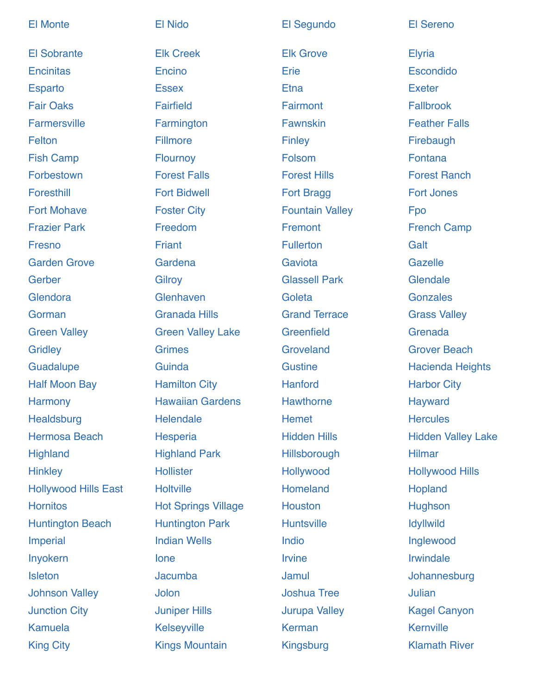| <b>El Monte</b>             | <b>El Nido</b>             | El Segundo             | <b>El Sereno</b>          |
|-----------------------------|----------------------------|------------------------|---------------------------|
| <b>El Sobrante</b>          | <b>Elk Creek</b>           | <b>Elk Grove</b>       | <b>Elyria</b>             |
| <b>Encinitas</b>            | Encino                     | Erie                   | Escondido                 |
| <b>Esparto</b>              | <b>Essex</b>               | <b>Etna</b>            | <b>Exeter</b>             |
| <b>Fair Oaks</b>            | <b>Fairfield</b>           | Fairmont               | <b>Fallbrook</b>          |
| <b>Farmersville</b>         | Farmington                 | <b>Fawnskin</b>        | <b>Feather Falls</b>      |
| Felton                      | <b>Fillmore</b>            | <b>Finley</b>          | Firebaugh                 |
| <b>Fish Camp</b>            | <b>Flournoy</b>            | Folsom                 | Fontana                   |
| Forbestown                  | <b>Forest Falls</b>        | <b>Forest Hills</b>    | <b>Forest Ranch</b>       |
| <b>Foresthill</b>           | <b>Fort Bidwell</b>        | <b>Fort Bragg</b>      | <b>Fort Jones</b>         |
| <b>Fort Mohave</b>          | <b>Foster City</b>         | <b>Fountain Valley</b> | Fpo                       |
| <b>Frazier Park</b>         | Freedom                    | Fremont                | <b>French Camp</b>        |
| <b>Fresno</b>               | <b>Friant</b>              | <b>Fullerton</b>       | Galt                      |
| <b>Garden Grove</b>         | Gardena                    | Gaviota                | Gazelle                   |
| Gerber                      | Gilroy                     | <b>Glassell Park</b>   | Glendale                  |
| Glendora                    | Glenhaven                  | Goleta                 | <b>Gonzales</b>           |
| Gorman                      | <b>Granada Hills</b>       | <b>Grand Terrace</b>   | <b>Grass Valley</b>       |
| <b>Green Valley</b>         | <b>Green Valley Lake</b>   | Greenfield             | Grenada                   |
| <b>Gridley</b>              | <b>Grimes</b>              | Groveland              | <b>Grover Beach</b>       |
| Guadalupe                   | Guinda                     | <b>Gustine</b>         | <b>Hacienda Heights</b>   |
| <b>Half Moon Bay</b>        | <b>Hamilton City</b>       | Hanford                | <b>Harbor City</b>        |
| <b>Harmony</b>              | <b>Hawaiian Gardens</b>    | <b>Hawthorne</b>       | <b>Hayward</b>            |
| <b>Healdsburg</b>           | <b>Helendale</b>           | <b>Hemet</b>           | <b>Hercules</b>           |
| <b>Hermosa Beach</b>        | Hesperia                   | <b>Hidden Hills</b>    | <b>Hidden Valley Lake</b> |
| <b>Highland</b>             | <b>Highland Park</b>       | Hillsborough           | <b>Hilmar</b>             |
| <b>Hinkley</b>              | <b>Hollister</b>           | Hollywood              | <b>Hollywood Hills</b>    |
| <b>Hollywood Hills East</b> | <b>Holtville</b>           | Homeland               | Hopland                   |
| <b>Hornitos</b>             | <b>Hot Springs Village</b> | Houston                | Hughson                   |
| <b>Huntington Beach</b>     | <b>Huntington Park</b>     | <b>Huntsville</b>      | <b>Idyllwild</b>          |
| <b>Imperial</b>             | <b>Indian Wells</b>        | Indio                  | Inglewood                 |
| Inyokern                    | lone                       | <b>Irvine</b>          | <b>Irwindale</b>          |
| <b>Isleton</b>              | <b>Jacumba</b>             | Jamul                  | Johannesburg              |
| <b>Johnson Valley</b>       | <b>Jolon</b>               | <b>Joshua Tree</b>     | Julian                    |
| <b>Junction City</b>        | <b>Juniper Hills</b>       | <b>Jurupa Valley</b>   | <b>Kagel Canyon</b>       |
| <b>Kamuela</b>              | Kelseyville                | <b>Kerman</b>          | <b>Kernville</b>          |
| <b>King City</b>            | <b>Kings Mountain</b>      | <b>Kingsburg</b>       | <b>Klamath River</b>      |
|                             |                            |                        |                           |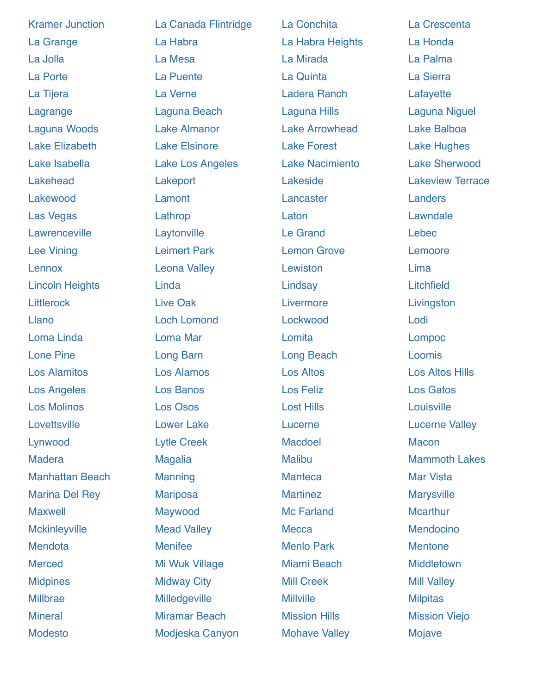Kramer Junction La Canada Flintridge La Conchita La Crescenta La Grange La Habra La Habra Heights La Honda La Jolla La Mesa La Mirada La Palma La Porte La Puente La Quinta La Sierra La Tijera La Verne Ladera Ranch Lafayette Lagrange Laguna Beach Laguna Hills Laguna Niguel Laguna Woods Lake Almanor Lake Arrowhead Lake Balboa Lake Elizabeth Lake Elsinore Lake Forest Lake Hughes Lake Isabella Lake Los Angeles Lake Nacimiento Lake Sherwood Lakehead Lakeport Lakeside Lakeview Terrace Lakewood Lamont Lancaster Landers Las Vegas **Lathrop** Lathrop Laton Laton Lawndale Lawrenceville Laytonville Le Grand Lebec Lee Vining Leimert Park Lemon Grove Lemoore Lennox Leona Valley Lewiston Lima Lincoln Heights Linda Lindsay Litchfield Littlerock Live Oak Livermore Livingston Llano Loch Lomond Lockwood Lodi Loma Linda Loma Mar Lomita Lompoc Lone Pine Long Barn Long Beach Loomis Los Alamitos Los Alamos Los Altos Los Altos Hills Los Angeles Los Banos Los Feliz Los Gatos Los Molinos Los Osos Lost Hills Louisville Lovettsville **Lake** Lucerne Lucerne Lucerne Lucerne Valley Lynwood bytle Creek Macdoel Macon Macon Madera **Magalia** Magalia Malibu Malibu Mammoth Lakes Manhattan Beach Manning Manteca Manteca Mar Vista Marina Del Rey **Mariposa** Marinez Martinez Martinez Marysville Maxwell Maywood Maywood Mc Farland Mcarthur Mckinleyville Mead Valley Mecca Mendocino Mendota Menifee Menlo Park Mentone Merced Mi Wuk Village Miami Beach Middletown Midpines Midway City Mill Creek Mill Valley Millbrae Milledgeville Millville Millville Millbrae Milpitas Mineral **Miramar Beach** Mission Hills Mission Viejo Modesto Modjeska Canyon Mohave Valley Mojave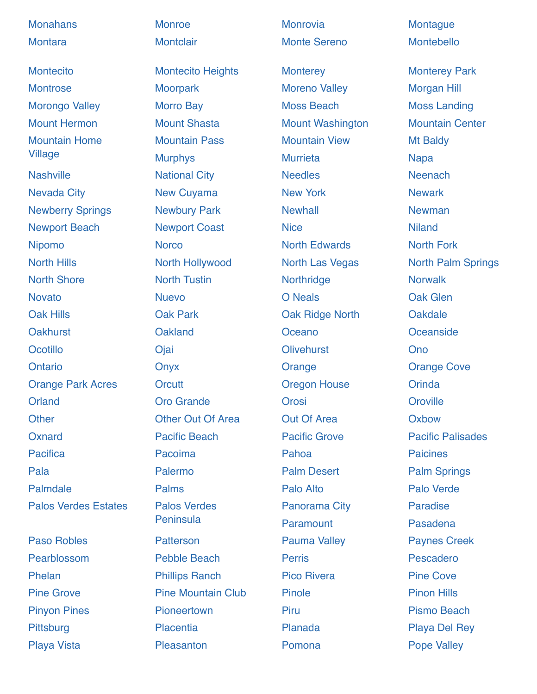| <b>Monahans</b>             | <b>Monroe</b>             | <b>Monrovia</b>         | Montague                  |
|-----------------------------|---------------------------|-------------------------|---------------------------|
| <b>Montara</b>              | <b>Montclair</b>          | <b>Monte Sereno</b>     | Montebello                |
| <b>Montecito</b>            | <b>Montecito Heights</b>  | <b>Monterey</b>         | <b>Monterey Park</b>      |
| <b>Montrose</b>             | <b>Moorpark</b>           | <b>Moreno Valley</b>    | <b>Morgan Hill</b>        |
| <b>Morongo Valley</b>       | <b>Morro Bay</b>          | <b>Moss Beach</b>       | <b>Moss Landing</b>       |
| <b>Mount Hermon</b>         | <b>Mount Shasta</b>       | <b>Mount Washington</b> | <b>Mountain Center</b>    |
| <b>Mountain Home</b>        | <b>Mountain Pass</b>      | <b>Mountain View</b>    | Mt Baldy                  |
| <b>Village</b>              | <b>Murphys</b>            | <b>Murrieta</b>         | <b>Napa</b>               |
| <b>Nashville</b>            | <b>National City</b>      | <b>Needles</b>          | <b>Neenach</b>            |
| <b>Nevada City</b>          | <b>New Cuyama</b>         | <b>New York</b>         | <b>Newark</b>             |
| <b>Newberry Springs</b>     | <b>Newbury Park</b>       | <b>Newhall</b>          | <b>Newman</b>             |
| <b>Newport Beach</b>        | <b>Newport Coast</b>      | <b>Nice</b>             | <b>Niland</b>             |
| <b>Nipomo</b>               | <b>Norco</b>              | <b>North Edwards</b>    | <b>North Fork</b>         |
| <b>North Hills</b>          | North Hollywood           | <b>North Las Vegas</b>  | <b>North Palm Springs</b> |
| <b>North Shore</b>          | <b>North Tustin</b>       | Northridge              | <b>Norwalk</b>            |
| <b>Novato</b>               | <b>Nuevo</b>              | <b>O</b> Neals          | <b>Oak Glen</b>           |
| <b>Oak Hills</b>            | <b>Oak Park</b>           | <b>Oak Ridge North</b>  | <b>Oakdale</b>            |
| <b>Oakhurst</b>             | <b>Oakland</b>            | Oceano                  | <b>Oceanside</b>          |
| <b>Ocotillo</b>             | Ojai                      | <b>Olivehurst</b>       | Ono                       |
| <b>Ontario</b>              | Onyx                      | Orange                  | <b>Orange Cove</b>        |
| <b>Orange Park Acres</b>    | Orcutt                    | <b>Oregon House</b>     | <b>Orinda</b>             |
| <b>Orland</b>               | <b>Oro Grande</b>         | <b>Orosi</b>            | Oroville                  |
| <b>Other</b>                | <b>Other Out Of Area</b>  | <b>Out Of Area</b>      | Oxbow                     |
| Oxnard                      | <b>Pacific Beach</b>      | <b>Pacific Grove</b>    | <b>Pacific Palisades</b>  |
| <b>Pacifica</b>             | Pacoima                   | Pahoa                   | <b>Paicines</b>           |
| Pala                        | Palermo                   | <b>Palm Desert</b>      | <b>Palm Springs</b>       |
| Palmdale                    | <b>Palms</b>              | <b>Palo Alto</b>        | Palo Verde                |
| <b>Palos Verdes Estates</b> | <b>Palos Verdes</b>       | <b>Panorama City</b>    | <b>Paradise</b>           |
|                             | Peninsula                 | Paramount               | Pasadena                  |
| <b>Paso Robles</b>          | <b>Patterson</b>          | <b>Pauma Valley</b>     | <b>Paynes Creek</b>       |
| Pearblossom                 | <b>Pebble Beach</b>       | <b>Perris</b>           | Pescadero                 |
| Phelan                      | <b>Phillips Ranch</b>     | <b>Pico Rivera</b>      | <b>Pine Cove</b>          |
| <b>Pine Grove</b>           | <b>Pine Mountain Club</b> | <b>Pinole</b>           | <b>Pinon Hills</b>        |
| <b>Pinyon Pines</b>         | Pioneertown               | Piru                    | <b>Pismo Beach</b>        |
| Pittsburg                   | Placentia                 | Planada                 | <b>Playa Del Rey</b>      |
| <b>Playa Vista</b>          | Pleasanton                | Pomona                  | <b>Pope Valley</b>        |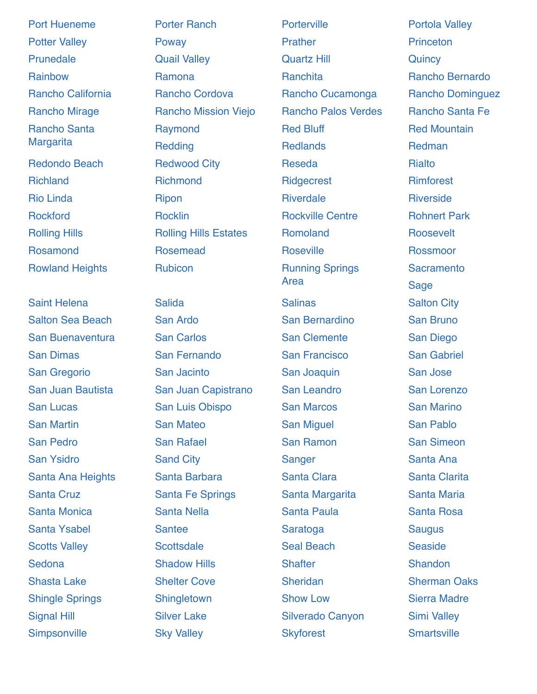Rancho Santa **Margarita** 

Saint Helena Salida Salinas Salton City Salton Sea Beach San Ardo San Bernardino San Bruno San Buenaventura San Carlos San Clemente San Diego San Dimas San Fernando San Francisco San Gabriel San Gregorio San Jacinto San Joaquin San Jose San Juan Bautista San Juan Capistrano San Leandro San Lorenzo San Lucas San Luis Obispo San Marcos San Marino San Martin San Mateo San Miguel San Pablo San Pedro New San Rafael New San Ramon San Simeon San Ysidro Sand City Sanger Sanger Santa Ana Santa Ana Heights Santa Barbara **Santa Canta Clara** Santa Clarita Santa Cruz **Santa Fe Springs** Santa Margarita Santa Maria Santa Monica Santa Nella Santa Paula Santa Rosa Santa Ysabel Santee Saratoga Saratoga Saugus Scotts Valley **Scottsdale** Seal Beach Seaside Seaside Sedona Shadow Hills Shafter Shandon Shasta Lake Shelter Cove Sheridan Sherman Oaks Shingle Springs Shingletown Show Low Sierra Madre Signal Hill Silver Lake Silverado Canyon Simi Valley Simpsonville Sky Valley Skyforest Skyforest Smartsville

Port Hueneme **Porter Ranch** Porterville Porterville Port Portola Valley Potter Valley **Poway** Prather Prather Protter Valley Prunedale Quail Valley Quartz Hill Quincy Rainbow Ramona Ranchita Rancho Bernardo Rancho California Rancho Cordova Rancho Cucamonga Rancho Dominguez Rancho Mirage **Rancho Mission Viejo** Rancho Palos Verdes Rancho Santa Fe Raymond Red Bluff Red Mountain Redding Redlands Redman Redondo Beach Redwood City Reseda Rialto Richland Richmond Richmond Ridgecrest Rimforest Rio Linda Ripon Riverdale Riverside Rockford **Rocklin** Rocklin **Rockville Centre** Rohnert Park Rolling Hills Rolling Hills Estates Romoland Roosevelt Rosamond **Rosemead** Roseville Roseville Rossmoor Rowland Heights **Rubicon** Running Springs

Area

**Sacramento** Sage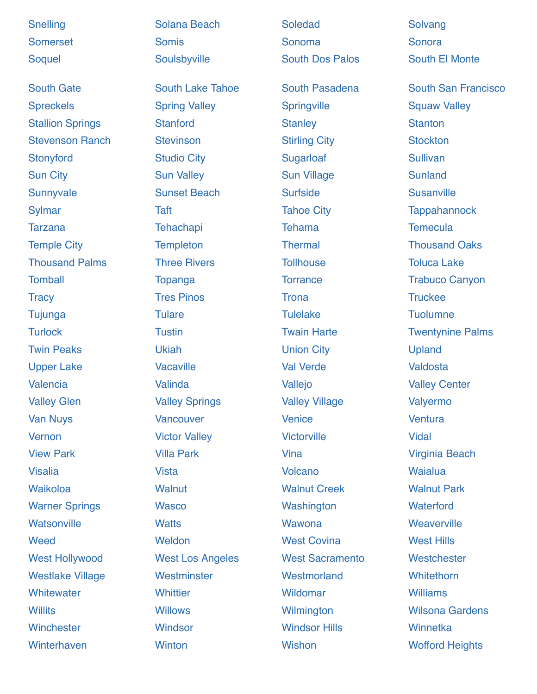| <b>Snelling</b>         | <b>Solana Beach</b>     | Soledad                | Solvang                    |
|-------------------------|-------------------------|------------------------|----------------------------|
| <b>Somerset</b>         | <b>Somis</b>            | Sonoma                 | Sonora                     |
| Soquel                  | Soulsbyville            | <b>South Dos Palos</b> | <b>South El Monte</b>      |
| <b>South Gate</b>       | <b>South Lake Tahoe</b> | South Pasadena         | <b>South San Francisco</b> |
| <b>Spreckels</b>        | <b>Spring Valley</b>    | Springville            | <b>Squaw Valley</b>        |
| <b>Stallion Springs</b> | <b>Stanford</b>         | <b>Stanley</b>         | <b>Stanton</b>             |
| <b>Stevenson Ranch</b>  | <b>Stevinson</b>        | <b>Stirling City</b>   | <b>Stockton</b>            |
| Stonyford               | <b>Studio City</b>      | Sugarloaf              | <b>Sullivan</b>            |
| <b>Sun City</b>         | <b>Sun Valley</b>       | <b>Sun Village</b>     | <b>Sunland</b>             |
| Sunnyvale               | <b>Sunset Beach</b>     | <b>Surfside</b>        | <b>Susanville</b>          |
| Sylmar                  | Taft                    | <b>Tahoe City</b>      | <b>Tappahannock</b>        |
| <b>Tarzana</b>          | <b>Tehachapi</b>        | <b>Tehama</b>          | <b>Temecula</b>            |
| <b>Temple City</b>      | <b>Templeton</b>        | <b>Thermal</b>         | <b>Thousand Oaks</b>       |
| <b>Thousand Palms</b>   | <b>Three Rivers</b>     | <b>Tollhouse</b>       | <b>Toluca Lake</b>         |
| <b>Tomball</b>          | <b>Topanga</b>          | <b>Torrance</b>        | <b>Trabuco Canyon</b>      |
| <b>Tracy</b>            | <b>Tres Pinos</b>       | <b>Trona</b>           | <b>Truckee</b>             |
| Tujunga                 | <b>Tulare</b>           | <b>Tulelake</b>        | <b>Tuolumne</b>            |
| <b>Turlock</b>          | <b>Tustin</b>           | <b>Twain Harte</b>     | <b>Twentynine Palms</b>    |
| <b>Twin Peaks</b>       | <b>Ukiah</b>            | <b>Union City</b>      | <b>Upland</b>              |
| <b>Upper Lake</b>       | <b>Vacaville</b>        | <b>Val Verde</b>       | Valdosta                   |
| Valencia                | Valinda                 | Vallejo                | <b>Valley Center</b>       |
| <b>Valley Glen</b>      | <b>Valley Springs</b>   | <b>Valley Village</b>  | Valyermo                   |
| <b>Van Nuys</b>         | Vancouver               | <b>Venice</b>          | Ventura                    |
| Vernon                  | <b>Victor Valley</b>    | <b>Victorville</b>     | <b>Vidal</b>               |
| <b>View Park</b>        | <b>Villa Park</b>       | Vina                   | <b>Virginia Beach</b>      |
| <b>Visalia</b>          | <b>Vista</b>            | <b>Volcano</b>         | <b>Waialua</b>             |
| Waikoloa                | <b>Walnut</b>           | <b>Walnut Creek</b>    | <b>Walnut Park</b>         |
| <b>Warner Springs</b>   | <b>Wasco</b>            | Washington             | Waterford                  |
| Watsonville             | <b>Watts</b>            | Wawona                 | Weaverville                |
| Weed                    | Weldon                  | <b>West Covina</b>     | <b>West Hills</b>          |
| <b>West Hollywood</b>   | <b>West Los Angeles</b> | <b>West Sacramento</b> | Westchester                |
| <b>Westlake Village</b> | Westminster             | Westmorland            | Whitethorn                 |
| Whitewater              | <b>Whittier</b>         | Wildomar               | <b>Williams</b>            |
| <b>Willits</b>          | <b>Willows</b>          | Wilmington             | <b>Wilsona Gardens</b>     |
| Winchester              | <b>Windsor</b>          | <b>Windsor Hills</b>   | Winnetka                   |
| Winterhaven             | <b>Winton</b>           | Wishon                 | <b>Wofford Heights</b>     |